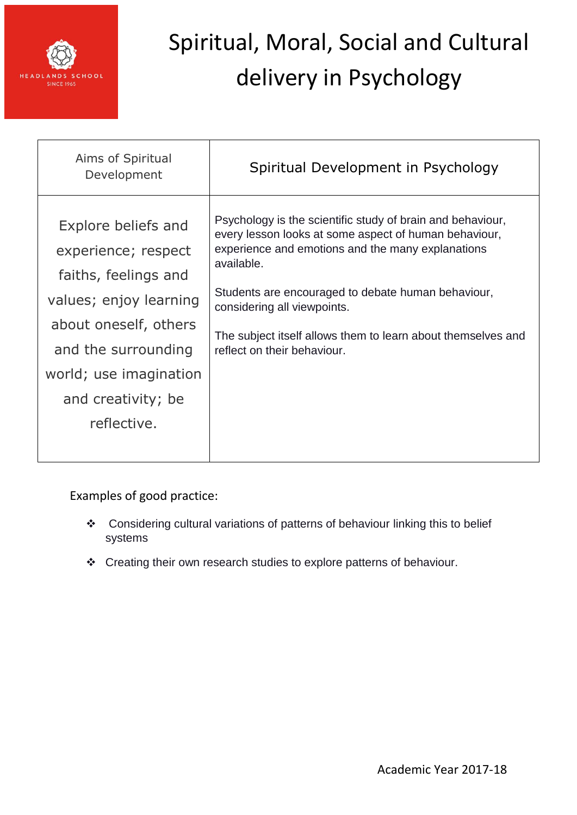

| Aims of Spiritual<br>Development                                                                                                                                                                            | Spiritual Development in Psychology                                                                                                                                                                                                                                                                                                                                        |
|-------------------------------------------------------------------------------------------------------------------------------------------------------------------------------------------------------------|----------------------------------------------------------------------------------------------------------------------------------------------------------------------------------------------------------------------------------------------------------------------------------------------------------------------------------------------------------------------------|
| Explore beliefs and<br>experience; respect<br>faiths, feelings and<br>values; enjoy learning<br>about oneself, others<br>and the surrounding<br>world; use imagination<br>and creativity; be<br>reflective. | Psychology is the scientific study of brain and behaviour,<br>every lesson looks at some aspect of human behaviour,<br>experience and emotions and the many explanations<br>available.<br>Students are encouraged to debate human behaviour,<br>considering all viewpoints.<br>The subject itself allows them to learn about themselves and<br>reflect on their behaviour. |

Examples of good practice:

- \* Considering cultural variations of patterns of behaviour linking this to belief systems
- Creating their own research studies to explore patterns of behaviour.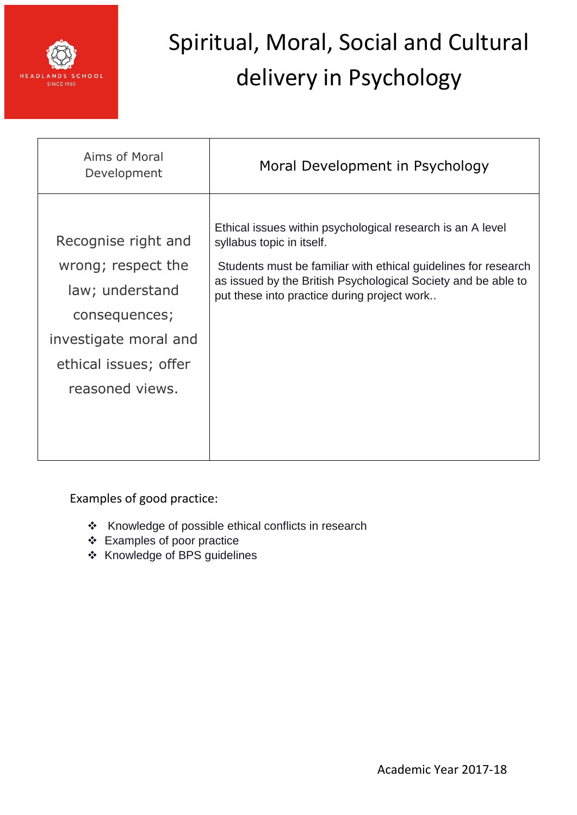

| Aims of Moral<br>Development                                                                                                                       | Moral Development in Psychology                                                                                                                                                                                                                                           |
|----------------------------------------------------------------------------------------------------------------------------------------------------|---------------------------------------------------------------------------------------------------------------------------------------------------------------------------------------------------------------------------------------------------------------------------|
| Recognise right and<br>wrong; respect the<br>law; understand<br>consequences;<br>investigate moral and<br>ethical issues; offer<br>reasoned views. | Ethical issues within psychological research is an A level<br>syllabus topic in itself.<br>Students must be familiar with ethical guidelines for research<br>as issued by the British Psychological Society and be able to<br>put these into practice during project work |

Examples of good practice:

- \* Knowledge of possible ethical conflicts in research
- Examples of poor practice
- Knowledge of BPS guidelines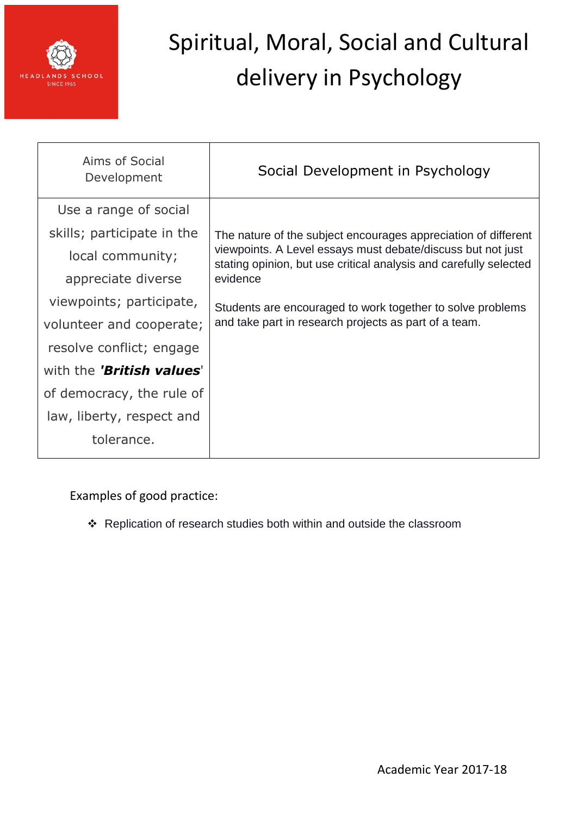

| Aims of Social<br>Development    | Social Development in Psychology                                                                                                 |
|----------------------------------|----------------------------------------------------------------------------------------------------------------------------------|
| Use a range of social            |                                                                                                                                  |
| skills; participate in the       | The nature of the subject encourages appreciation of different                                                                   |
| local community;                 | viewpoints. A Level essays must debate/discuss but not just<br>stating opinion, but use critical analysis and carefully selected |
| appreciate diverse               | evidence                                                                                                                         |
| viewpoints; participate,         | Students are encouraged to work together to solve problems                                                                       |
| volunteer and cooperate;         | and take part in research projects as part of a team.                                                                            |
| resolve conflict; engage         |                                                                                                                                  |
| with the <b>'British values'</b> |                                                                                                                                  |
| of democracy, the rule of        |                                                                                                                                  |
| law, liberty, respect and        |                                                                                                                                  |
| tolerance.                       |                                                                                                                                  |

Examples of good practice:

\* Replication of research studies both within and outside the classroom